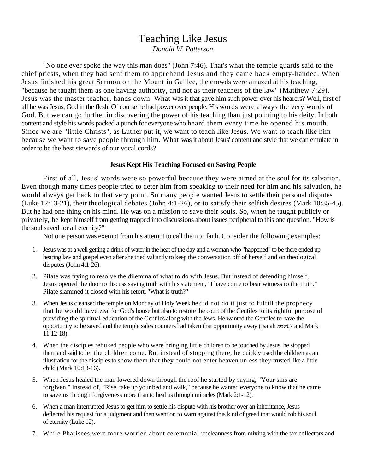# Teaching Like Jesus

*Donald W. Patterson* 

"No one ever spoke the way this man does" (John 7:46). That's what the temple guards said to the chief priests, when they had sent them to apprehend Jesus and they came back empty-handed. When Jesus finished his great Sermon on the Mount in Galilee, the crowds were amazed at his teaching, "because he taught them as one having authority, and not as their teachers of the law" (Matthew 7:29). Jesus was the master teacher, hands down. What was it that gave him such power over his hearers? Well, first of all he was Jesus, God in the flesh. Of course he had power over people. His words were always the very words of God. But we can go further in discovering the power of his teaching than just pointing to his deity. In both content and style his words packed a punch for everyone who heard them every time he opened his mouth. Since we are "little Christs", as Luther put it, we want to teach like Jesus. We want to teach like him because we want to save people through him. What was it about Jesus' content and style that we can emulate in order to be the best stewards of our vocal cords?

# **Jesus Kept His Teaching Focused on Saving People**

First of all, Jesus' words were so powerful because they were aimed at the soul for its salvation. Even though many times people tried to deter him from speaking to their need for him and his salvation, he would always get back to that very point. So many people wanted Jesus to settle their personal disputes (Luke 12:13-21), their theological debates (John 4:1-26), or to satisfy their selfish desires (Mark 10:35-45). But he had one thing on his mind. He was on a mission to save their souls. So, when he taught publicly or privately, he kept himself from getting trapped into discussions about issues peripheral to this one question, "How is the soul saved for all eternity?"

Not one person was exempt from his attempt to call them to faith. Consider the following examples:

- 1. Jesus was at a well getting a drink of water in the heat of the day and a woman who "happened" to be there ended up hearing law and gospel even after she tried valiantly to keep the conversation off of herself and on theological disputes (John 4:1-26).
- 2. Pilate was trying to resolve the dilemma of what to do with Jesus. But instead of defending himself, Jesus opened the door to discuss saving truth with his statement, "I have come to bear witness to the truth." Pilate slammed it closed with his retort, "What is truth?"
- 3. When Jesus cleansed the temple on Monday of Holy Week he did not do it just to fulfill the prophecy that he would have zeal for God's house but also to restore the court of the Gentiles to its rightful purpose of providing the spiritual education of the Gentiles along with the Jews. He wanted the Gentiles to have the opportunity to be saved and the temple sales counters had taken that opportunity away (Isaiah 56:6,7 and Mark 11:12-18).
- 4. When the disciples rebuked people who were bringing little children to be touched by Jesus, he stopped them and said to let the children come. But instead of stopping there, he quickly used the children as an illustration for the disciples to show them that they could not enter heaven unless they trusted like a little child (Mark 10:13-16).
- 5. When Jesus healed the man lowered down through the roof he started by saying, "Your sins are forgiven," instead of, "Rise, take up your bed and walk," because he wanted everyone to know that he came to save us through forgiveness more than to heal us through miracles (Mark 2:1-12).
- 6. When a man interrupted Jesus to get him to settle his dispute with his brother over an inheritance, Jesus deflected his request for a judgment and then went on to warn against this kind of greed that would rob his soul of eternity (Luke 12).
- 7. While Pharisees were more worried about ceremonial uncleanness from mixing with the tax collectors and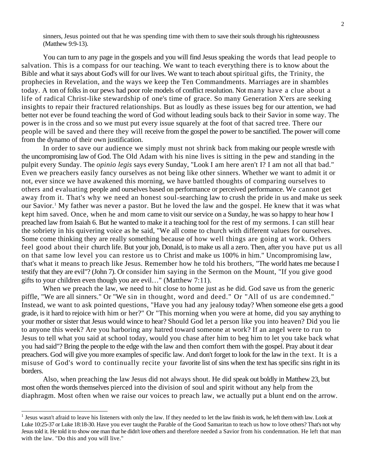sinners, Jesus pointed out that he was spending time with them to save their souls through his righteousness (Matthew 9:9-13).

You can turn to any page in the gospels and you will find Jesus speaking the words that lead people to salvation. This is a compass for our teaching. We want to teach everything there is to know about the Bible and what it says about God's will for our lives. We want to teach about spiritual gifts, the Trinity, the prophecies in Revelation, and the ways we keep the Ten Commandments. Marriages are in shambles today. A ton of folks in our pews had poor role models of conflict resolution. Not many have a clue about a life of radical Christ-like stewardship of one's time of grace. So many Generation X'ers are seeking insights to repair their fractured relationships. But as loudly as these issues beg for our attention, we had better not ever be found teaching the word of God without leading souls back to their Savior in some way. The power is in the cross and so we must put every issue squarely at the foot of that sacred tree. There our people will be saved and there they will receive from the gospel the power to be sanctified. The power will come from the dynamo of their own justification.

In order to save our audience we simply must not shrink back from making our people wrestle with the uncompromising law of God. The Old Adam with his nine lives is sitting in the pew and standing in the pulpit every Sunday. The *opinio legis* says every Sunday, "Look I am here aren't I? I am not all that bad." Even we preachers easily fancy ourselves as not being like other sinners. Whether we want to admit it or not, ever since we have awakened this morning, we have battled thoughts of comparing ourselves to others and evaluating people and ourselves based on performance or perceived performance. We cannot get away from it. That's why we need an honest soul-searching law to crush the pride in us and make us seek our Savior.<sup>[1](#page-1-0)</sup> My father was never a pastor. But he loved the law and the gospel. He knew that it was what kept him saved. Once, when he and mom came to visit our service on a Sunday, he was so happy to hear how I preached law from Isaiah 6. But he wanted to make it a teaching tool for the rest of my sermons. I can still hear the sobriety in his quivering voice as he said, "We all come to church with different values for ourselves. Some come thinking they are really something because of how well things are going at work. Others feel good about their church life. But your job, Donald, is to make us all a zero. Then, after you have put us all on that same low level you can restore us to Christ and make us 100% in him." Uncompromising law, that's what it means to preach like Jesus. Remember how he told his brothers, "The world hates me because I testify that they are evil"? (John 7). Or consider him saying in the Sermon on the Mount, "If you give good gifts to your children even though you are evil…" (Matthew 7:11).

When we preach the law, we need to hit close to home just as he did. God save us from the generic piffle, "We are all sinners." Or "We sin in thought, word and deed." Or "All of us are condemned." Instead, we want to ask pointed questions, "Have you had any jealousy today? When someone else gets a good grade, is it hard to rejoice with him or her?" Or "This morning when you were at home, did you say anything to your mother or sister that Jesus would wince to hear? Should God let a person like you into heaven? Did you lie to anyone this week? Are you harboring any hatred toward someone at work? If an angel were to run to Jesus to tell what you said at school today, would you chase after him to beg him to let you take back what you had said"? Bring the people to the edge with the law and then comfort them with the gospel. Pray about it dear preachers. God will give you more examples of specific law. And don't forget to look for the law in the text. It is a misuse of God's word to continually recite your favorite list of sins when the text has specific sins right in its borders.

Also, when preaching the law Jesus did not always shout. He did speak out boldly in Matthew 23, but most often the words themselves pierced into the division of soul and spirit without any help from the diaphragm. Most often when we raise our voices to preach law, we actually put a blunt end on the arrow.

 $\overline{a}$ 

<span id="page-1-0"></span><sup>&</sup>lt;sup>1</sup> Jesus wasn't afraid to leave his listeners with only the law. If they needed to let the law finish its work, he left them with law. Look at Luke 10:25-37 or Luke 18:18-30. Have you ever taught the Parable of the Good Samaritan to teach us how to love others? That's not why Jesus told it. He told it to show one man that he didn't love others and therefore needed a Savior from his condemnation. He left that man with the law. "Do this and you will live."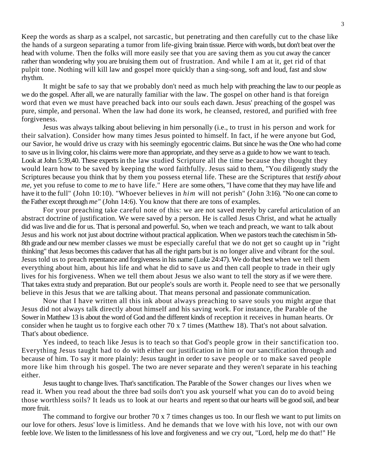Keep the words as sharp as a scalpel, not sarcastic, but penetrating and then carefully cut to the chase like the hands of a surgeon separating a tumor from life-giving brain tissue. Pierce with words, but don't beat over the head with volume. Then the folks will more easily see that you are saving them as you cut away the cancer rather than wondering why you are bruising them out of frustration. And while I am at it, get rid of that pulpit tone. Nothing will kill law and gospel more quickly than a sing-song, soft and loud, fast and slow rhythm.

It might be safe to say that we probably don't need as much help with preaching the law to our people as we do the gospel. After all, we are naturally familiar with the law. The gospel on other hand is that foreign word that even we must have preached back into our souls each dawn. Jesus' preaching of the gospel was pure, simple, and personal. When the law had done its work, he cleansed, restored, and purified with free forgiveness.

Jesus was always talking about believing in him personally (i.e., to trust in his person and work for their salvation). Consider how many times Jesus pointed to himself. In fact, if he were anyone but God, our Savior, he would drive us crazy with his seemingly egocentric claims. But since he was the One who had come to save us in living color, his claims were more than appropriate, and they serve as a guide to how we want to teach. Look at John 5:39,40. These experts in the law studied Scripture all the time because they thought they would learn how to be saved by keeping the word faithfully. Jesus said to them, "You diligently study the Scriptures because you think that by them you possess eternal life. These are the Scriptures that *testify about me,* yet you refuse to come to *me* to have life." Here are some others, "I have come that they may have life and have it to the full" (John 10:10). "Whoever believes in *him* will not perish" (John 3:16). "No one can come to the Father except through *me"* (John 14:6). You know that there are tons of examples.

For your preaching take careful note of this: we are not saved merely by careful articulation of an abstract doctrine of justification. We were saved by a person. He is called Jesus Christ, and what he actually did was live and die for us. That is personal and powerful. So, when we teach and preach, we want to talk about Jesus and his work not just about doctrine without practical application. When we pastors teach the catechism in 5th-8th grade and our new member classes we must be especially careful that we do not get so caught up in "right thinking" that Jesus becomes this cadaver that has all the right parts but is no longer alive and vibrant for the soul. Jesus told us to preach repentance and forgiveness in his name (Luke 24:47). We do that best when we tell them everything about him, about his life and what he did to save us and then call people to trade in their ugly lives for his forgiveness. When we tell them about Jesus we also want to tell the story as if we were there. That takes extra study and preparation. But our people's souls are worth it. People need to see that we personally believe in this Jesus that we are talking about. That means personal and passionate communication.

Now that I have written all this ink about always preaching to save souls you might argue that Jesus did not always talk directly about himself and his saving work. For instance, the Parable of the Sower in Matthew 13 is about the word of God and the different kinds of reception it receives in human hearts. Or consider when he taught us to forgive each other 70 x 7 times (Matthew 18). That's not about salvation. That's about obedience.

Yes indeed, to teach like Jesus is to teach so that God's people grow in their sanctification too. Everything Jesus taught had to do with either our justification in him or our sanctification through and because of him. To say it more plainly: Jesus taught in order to save people or to make saved people more like him through his gospel. The two are never separate and they weren't separate in his teaching either.

Jesus taught to change lives. That's sanctification. The Parable of the Sower changes our lives when we read it. When you read about the three bad soils don't you ask yourself what you can do to avoid being those worthless soils? It leads us to look at our hearts and repent so that our hearts will be good soil, and bear more fruit.

The command to forgive our brother 70 x 7 times changes us too. In our flesh we want to put limits on our love for others. Jesus' love is limitless. And he demands that we love with his love, not with our own feeble love. We listen to the limitlessness of his love and forgiveness and we cry out, "Lord, help me do that!" He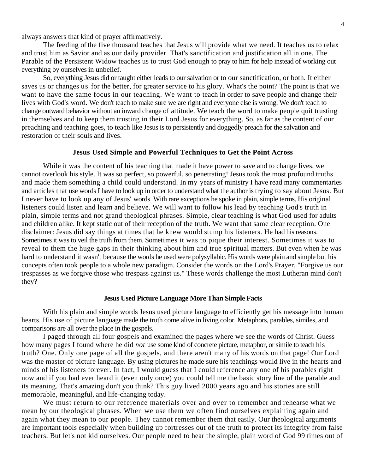always answers that kind of prayer affirmatively.

The feeding of the five thousand teaches that Jesus will provide what we need. It teaches us to relax and trust him as Savior and as our daily provider. That's sanctification and justification all in one. The Parable of the Persistent Widow teaches us to trust God enough to pray to him for help instead of working out everything by ourselves in unbelief.

So, everything Jesus did or taught either leads to our salvation or to our sanctification, or both. It either saves us or changes us for the better, for greater service to his glory. What's the point? The point is that we want to have the same focus in our teaching. We want to teach in order to save people and change their lives with God's word. We don't teach to make sure we are right and everyone else is wrong. We don't teach to change outward behavior without an inward change of attitude. We teach the word to make people quit trusting in themselves and to keep them trusting in their Lord Jesus for everything. So, as far as the content of our preaching and teaching goes, to teach like Jesus is to persistently and doggedly preach for the salvation and restoration of their souls and lives.

# **Jesus Used Simple and Powerful Techniques to Get the Point Across**

While it was the content of his teaching that made it have power to save and to change lives, we cannot overlook his style. It was so perfect, so powerful, so penetrating! Jesus took the most profound truths and made them something a child could understand. In my years of ministry I have read many commentaries and articles that use words I have to look up in order to understand what the author is trying to say about Jesus. But I never have to look up any of Jesus' words. With rare exceptions he spoke in plain, simple terms. His original listeners could listen and learn and believe. We will want to follow his lead by teaching God's truth in plain, simple terms and not grand theological phrases. Simple, clear teaching is what God used for adults and children alike. It kept static out of their reception of the truth. We want that same clear reception. One disclaimer: Jesus did say things at times that he knew would stump his listeners. He had his reasons. Sometimes it was to veil the truth from them. Sometimes it was to pique their interest. Sometimes it was to reveal to them the huge gaps in their thinking about him and true spiritual matters. But even when he was hard to understand it wasn't because the words he used were polysyllabic. His words were plain and simple but his concepts often took people to a whole new paradigm. Consider the words on the Lord's Prayer, "Forgive us our trespasses as we forgive those who trespass against us." These words challenge the most Lutheran mind don't they?

#### **Jesus Used Picture Language More Than Simple Facts**

With his plain and simple words Jesus used picture language to efficiently get his message into human hearts. His use of picture language made the truth come alive in living color. Metaphors, parables, similes, and comparisons are all over the place in the gospels.

I paged through all four gospels and examined the pages where we see the words of Christ. Guess how many pages I found where he did *not* use some kind of concrete picture, metaphor, or simile to teach his truth? One. Only one page of all the gospels, and there aren't many of his words on that page! Our Lord was the master of picture language. By using pictures he made sure his teachings would live in the hearts and minds of his listeners forever. In fact, I would guess that I could reference any one of his parables right now and if you had ever heard it (even only once) you could tell me the basic story line of the parable and its meaning. That's amazing don't you think? This guy lived 2000 years ago and his stories are still memorable, meaningful, and life-changing today.

We must return to our reference materials over and over to remember and rehearse what we mean by our theological phrases. When we use them we often find ourselves explaining again and again what they mean to our people. They cannot remember them that easily. Our theological arguments are important tools especially when building up fortresses out of the truth to protect its integrity from false teachers. But let's not kid ourselves. Our people need to hear the simple, plain word of God 99 times out of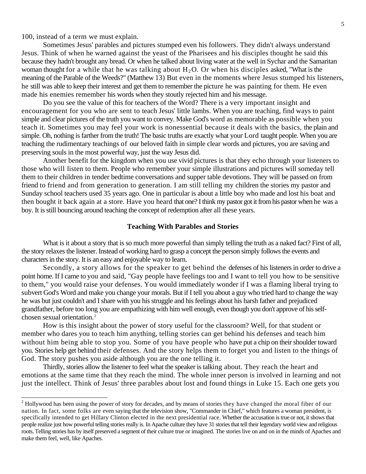100, instead of a term we must explain.

l

Sometimes Jesus' parables and pictures stumped even his followers. They didn't always understand Jesus. Think of when he warned against the yeast of the Pharisees and his disciples thought he said this because they hadn't brought any bread. Or when he talked about living water at the well in Sychar and the Samaritan woman thought for a while that he was talking about  $H_2O$ . Or when his disciples asked, "What is the meaning of the Parable of the Weeds?" (Matthew 13) But even in the moments where Jesus stumped his listeners, he still was able to keep their interest and get them to remember the picture he was painting for them. He even made his enemies remember his words when they stoutly rejected him and his message.

Do you see the value of this for teachers of the Word? There is a very important insight and encouragement for you who are sent to teach Jesus' little lambs. When you are teaching, find ways to paint simple and clear pictures of the truth you want to convey. Make God's word as memorable as possible when you teach it. Sometimes you may feel your work is nonessential because it deals with the basics, the plain and simple. Oh, nothing is farther from the truth! The basic truths are exactly what your Lord taught people. When you are teaching the rudimentary teachings of our beloved faith in simple clear words and pictures, you are saving and preserving souls in the most powerful way, just the way Jesus did.

Another benefit for the kingdom when you use vivid pictures is that they echo through your listeners to those who will listen to them. People who remember your simple illustrations and pictures will someday tell them to their children in tender bedtime conversations and supper table devotions. They will be passed on from friend to friend and from generation to generation. I am still telling my children the stories my pastor and Sunday school teachers used 35 years ago. One in particular is about a little boy who made and lost his boat and then bought it back again at a store. Have you heard that one? I think my pastor got it from his pastor when he was a boy. It is still bouncing around teaching the concept of redemption after all these years.

## **Teaching With Parables and Stories**

What is it about a story that is so much more powerful than simply telling the truth as a naked fact? First of all, the story relaxes the listener. Instead of working hard to grasp a concept the person simply follows the events and characters in the story. It is an easy and enjoyable way to learn.

Secondly, a story allows for the speaker to get behind the defenses of his listeners in order to drive a point home. If I came to you and said, "Gay people have feelings too and I want to tell you how to be sensitive to them," you would raise your defenses. You would immediately wonder if I was a flaming liberal trying to subvert God's Word and make you change your morals. But if I tell you about a guy who tried hard to change the way he was but just couldn't and I share with you his struggle and his feelings about his harsh father and prejudiced grandfather, before too long you are empathizing with him well enough, even though you don't approve of his selfchosen sexual orientation.[2](#page-4-0)

How is this insight about the power of story useful for the classroom? Well, for that student or member who dares you to teach him anything, telling stories can get behind his defenses and teach him without him being able to stop you. Some of you have people who have put a chip on their shoulder toward you. Stories help get behind their defenses. And the story helps them to forget you and listen to the things of God. The story pushes you aside although you are the one telling it.

Thirdly, stories allow the listener to feel what the speaker is talking about. They reach the heart and emotions at the same time that they reach the mind. The whole inner person is involved in learning and not just the intellect. Think of Jesus' three parables about lost and found things in Luke 15. Each one gets you

<span id="page-4-0"></span> $2<sup>2</sup>$  Hollywood has been using the power of story for decades, and by means of stories they have changed the moral fiber of our nation. In fact, some folks are even saying that the television show, "Commander in Chief," which features a woman president, is specifically intended to get Hillary Clinton elected in the next presidential race. Whether the accusation is true or not, it shows that people realize just how powerful telling stories really is. In Apache culture they have 31 stories that tell their legendary world view and religious roots. Telling stories has by itself preserved a segment of their culture true or imagined. The stories live on and on in the minds of Apaches and make them feel, well, like Apaches.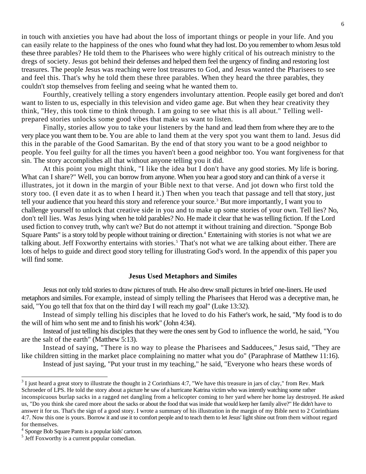in touch with anxieties you have had about the loss of important things or people in your life. And you can easily relate to the happiness of the ones who found what they had lost. Do you remember to whom Jesus told these three parables? He told them to the Pharisees who were highly critical of his outreach ministry to the dregs of society. Jesus got behind their defenses and helped them feel the urgency of finding and restoring lost treasures. The people Jesus was reaching were lost treasures to God, and Jesus wanted the Pharisees to see and feel this. That's why he told them these three parables. When they heard the three parables, they couldn't stop themselves from feeling and seeing what he wanted them to.

Fourthly, creatively telling a story engenders involuntary attention. People easily get bored and don't want to listen to us, especially in this television and video game age. But when they hear creativity they think, "Hey, this took time to think through. I am going to see what this is all about." Telling wellprepared stories unlocks some good vibes that make us want to listen.

Finally, stories allow you to take your listeners by the hand and lead them from where they are to the very place you want them to be. You are able to land them at the very spot you want them to land. Jesus did this in the parable of the Good Samaritan. By the end of that story you want to be a good neighbor to people. You feel guilty for all the times you haven't been a good neighbor too. You want forgiveness for that sin. The story accomplishes all that without anyone telling you it did.

At this point you might think, "I like the idea but I don't have any good stories. My life is boring. What can I share?" Well, you can borrow from anyone. When you hear a good story and can think of a verse it illustrates, jot it down in the margin of your Bible next to that verse. And jot down who first told the story too. (I even date it as to when I heard it.) Then when you teach that passage and tell that story, just tell your audience that you heard this story and reference your source.<sup>[3](#page-5-0)</sup> But more importantly, I want you to challenge yourself to unlock that creative side in you and to make up some stories of your own. Tell lies? No, don't tell lies. Was Jesus lying when he told parables? No. He made it clear that he was telling fiction. If the Lord used fiction to convey truth, why can't we? But do not attempt it without training and direction. "Sponge Bob Square Pants" is a story told by people without training or direction.<sup>4</sup> Entertaining with stories is not what we are talking about. Jeff Foxworthy entertains with stories.<sup>[5](#page-5-2)</sup> That's not what we are talking about either. There are lots of helps to guide and direct good story telling for illustrating God's word. In the appendix of this paper you will find some.

## **Jesus Used Metaphors and Similes**

Jesus not only told stories to draw pictures of truth. He also drew small pictures in brief one-liners. He used metaphors and similes. For example, instead of simply telling the Pharisees that Herod was a deceptive man, he said, "You go tell that fox that on the third day I will reach my goal" (Luke 13:32).

Instead of simply telling his disciples that he loved to do his Father's work, he said, "My food is to do the will of him who sent me and to finish his work" (John 4:34).

Instead of just telling his disciples that they were the ones sent by God to influence the world, he said, "You are the salt of the earth" (Matthew 5:13).

Instead of saying, "There is no way to please the Pharisees and Sadducees," Jesus said, "They are like children sitting in the market place complaining no matter what you do" (Paraphrase of Matthew 11:16).

Instead of just saying, "Put your trust in my teaching," he said, "Everyone who hears these words of

<span id="page-5-0"></span> $\frac{3}{1}$  I just heard a great story to illustrate the thought in 2 Corinthians 4:7, "We have this treasure in jars of clay," from Rev. Mark Schroeder of LPS. He told the story about a picture he saw of a hurricane Katrina victim who was intently watching some rather inconspicuous burlap sacks in a ragged net dangling from a helicopter coming to her yard where her home lay destroyed. He asked us, "Do you think she cared more about the sacks or about the food that was inside that would keep her family alive?" He didn't have to answer it for us. That's the sign of a good story. I wrote a summary of his illustration in the margin of my Bible next to 2 Corinthians 4:7. Now this one is yours. Borrow it and use it to comfort people and to teach them to let Jesus' light shine out from them without regard for themselves.

<span id="page-5-1"></span><sup>4</sup> Sponge Bob Square Pants is a popular kids' cartoon.

<span id="page-5-2"></span><sup>&</sup>lt;sup>5</sup> Jeff Foxworthy is a current popular comedian.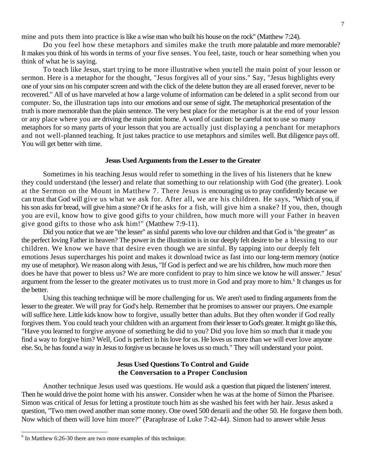mine and puts them into practice is like a wise man who built his house on the rock" (Matthew 7:24).

Do you feel how these metaphors and similes make the truth more palatable and more memorable? It makes you think of his words in terms of your five senses. You feel, taste, touch or hear something when you think of what he is saying.

To teach like Jesus, start trying to be more illustrative when you tell the main point of your lesson or sermon. Here is a metaphor for the thought, "Jesus forgives all of your sins." Say, "Jesus highlights every one of your sins on his computer screen and with the click of the delete button they are all erased forever, never to be recovered." All of us have marveled at how a large volume of information can be deleted in a split second from our computer. So, the illustration taps into our emotions and our sense of sight. The metaphorical presentation of the truth is more memorable than the plain sentence. The very best place for the metaphor is at the end of your lesson or any place where you are driving the main point home. A word of caution: be careful not to use so many metaphors for so many parts of your lesson that you are actually just displaying a penchant for metaphors and not well-planned teaching. It just takes practice to use metaphors and similes well. But diligence pays off. You will get better with time.

#### **Jesus Used Arguments from the Lesser to the Greater**

Sometimes in his teaching Jesus would refer to something in the lives of his listeners that he knew they could understand (the lesser) and relate that something to our relationship with God (the greater). Look at the Sermon on the Mount in Matthew 7. There Jesus is encouraging us to pray confidently because we can trust that God will give us what we ask for. After all, we are his children. He says, "Which of you, if his son asks for bread, will give him a stone? Or if he asks for a fish, will give him a snake? If you, then, though you are evil, know how to give good gifts to your children, how much more will your Father in heaven give good gifts to those who ask him!" (Matthew 7:9-11).

Did you notice that we are "the lesser" as sinful parents who love our children and that God is "the greater" as the perfect loving Father in heaven? The power in the illustration is in our deeply felt desire to be a blessing to our children. We know we have that desire even though we are sinful. By tapping into our deeply felt emotions Jesus supercharges his point and makes it download twice as fast into our long-term memory (notice my use of metaphor). We reason along with Jesus, "If God is perfect and we are his children, how much more then does he have that power to bless us? We are more confident to pray to him since we know he will answer." Jesus' argument from the lesser to the greater motivates us to trust more in God and pray more to him.<sup>[6](#page-6-0)</sup> It changes us for the better.

Using this teaching technique will be more challenging for us. We aren't used to finding arguments from the lesser to the greater. We will pray for God's help. Remember that he promises to answer our prayers. One example will suffice here. Little kids know how to forgive, usually better than adults. But they often wonder if God really forgives them. You could teach your children with an argument from their lesser to God's greater. It might go like this, "Have you learned to forgive anyone of something he did to you? Did you love him so much that it made you find a way to forgive him? Well, God is perfect in his love for us. He loves us more than we will ever love anyone else. So, he has found a way in Jesus to forgive us because he loves us so much." They will understand your point.

## **Jesus Used Questions To Control and Guide the Conversation to a Proper Conclusion**

Another technique Jesus used was questions. He would ask a question that piqued the listeners' interest. Then he would drive the point home with his answer. Consider when he was at the home of Simon the Pharisee. Simon was critical of Jesus for letting a prostitute touch him as she washed his feet with her hair. Jesus asked a question, "Two men owed another man some money. One owed 500 denarii and the other 50. He forgave them both. Now which of them will love him more?" (Paraphrase of Luke 7:42-44). Simon had to answer while Jesus

 $\overline{a}$ 

<span id="page-6-0"></span> $6$  In Matthew 6:26-30 there are two more examples of this technique.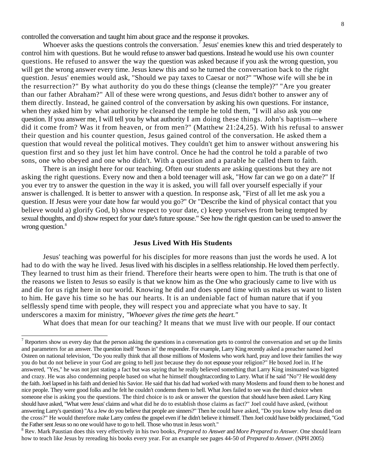controlled the conversation and taught him about grace and the response it provokes.

Whoever asks the questions controls the conversation.<sup>[7](#page-7-0)</sup> Jesus' enemies knew this and tried desperately to control him with questions. But he would refuse to answer bad questions. Instead he would use his own counter questions. He refused to answer the way the question was asked because if you ask the wrong question, you will get the wrong answer every time. Jesus knew this and so he turned the conversation back to the right question. Jesus' enemies would ask, "Should we pay taxes to Caesar or not?" "Whose wife will she be in the resurrection?" By what authority do you do these things (cleanse the temple)?" "Are you greater than our father Abraham?" All of these were wrong questions, and Jesus didn't bother to answer any of them directly. Instead, he gained control of the conversation by asking his own questions. For instance, when they asked him by what authority he cleansed the temple he told them, "I will also ask you one question. If you answer me, I will tell you by what authority I am doing these things. John's baptism—where did it come from? Was it from heaven, or from men?" (Matthew 21:24,25). With his refusal to answer their question and his counter question, Jesus gained control of the conversation. He asked them a question that would reveal the political motives. They couldn't get him to answer without answering his question first and so they just let him have control. Once he had the control he told a parable of two sons, one who obeyed and one who didn't. With a question and a parable he called them to faith.

There is an insight here for our teaching. Often our students are asking questions but they are not asking the right questions. Every now and then a bold teenager will ask, "How far can we go on a date?" If you ever try to answer the question in the way it is asked, you will fall over yourself especially if your answer is challenged. It is better to answer with a question. In response ask, "First of all let me ask you a question. If Jesus were your date how far would you go?" Or "Describe the kind of physical contact that you believe would a) glorify God, b) show respect to your date, c) keep yourselves from being tempted by sexual thoughts, and d) show respect for your date's future spouse." See how the right question can be used to answer the wrong question.<sup>[8](#page-7-1)</sup>

## **Jesus Lived With His Students**

Jesus' teaching was powerful for his disciples for more reasons than just the words he used. A lot had to do with the way he lived. Jesus lived with his disciples in a selfless relationship. He loved them perfectly. They learned to trust him as their friend. Therefore their hearts were open to him. The truth is that one of the reasons we listen to Jesus so easily is that we know him as the One who graciously came to live with us and die for us right here in our world. Knowing he did and does spend time with us makes us want to listen to him. He gave his time so he has our hearts. It is an undeniable fact of human nature that if you selflessly spend time with people, they will respect you and appreciate what you have to say. It underscores a maxim for ministry, *"Whoever gives the time gets the heart."* 

 $\overline{a}$ 

What does that mean for our teaching? It means that we must live with our people. If our contact

<span id="page-7-0"></span> $<sup>7</sup>$  Reporters show us every day that the person asking the questions in a conversation gets to control the conversation and set up the limits</sup> and parameters for an answer. The question itself "boxes in" the responder. For example, Larry King recently asked a preacher named Joel Osteen on national television, "Do you really think that all those millions of Moslems who work hard, pray and love their families the way you do but do not believe in your God are going to hell just because they do not espouse your religion?" He boxed Joel in. If he answered, "Yes," he was not just stating a fact but was saying that he really believed something that Larry King insinuated was bigoted and crazy. He was also condemning people based on what he himself thoughtaccording to Larry. What if he said "No"? He would deny the faith. Joel lapsed in his faith and denied his Savior. He said that his dad had worked with many Moslems and found them to be honest and nice people. They were good folks and he felt he couldn't condemn them to hell. What Joes failed to see was the third choice when someone else is asking you the questions. The third choice is to ask or answer the question that should have been asked. Larry King should have asked, "What were Jesus' claims and what did he do to establish those claims as fact?" Joel could have asked, (without answering Larry's question) "As a Jew do you believe that people are sinners?" Then he could have asked, "Do you know why Jesus died on the cross?" He would therefore make Larry confess the gospel even if he didn't believe it himself. Then Joel could have boldly proclaimed, "God the Father sent Jesus so no one would have to go to hell. Those who trust in Jesus won't."

<span id="page-7-1"></span><sup>8</sup> Rev. Mark Paustian does this very effectively in his two books, *Prepared to Answer* and *More Prepared to Answer.* One should learn how to teach like Jesus by rereading his books every year. For an example see pages 44-50 of *Prepared to Answer*. (NPH 2005)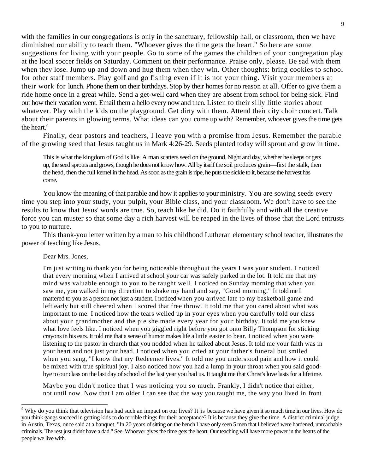with the families in our congregations is only in the sanctuary, fellowship hall, or classroom, then we have diminished our ability to teach them. "Whoever gives the time gets the heart." So here are some suggestions for living with your people. Go to some of the games the children of your congregation play at the local soccer fields on Saturday. Comment on their performance. Praise only, please. Be sad with them when they lose. Jump up and down and hug them when they win. Other thoughts: bring cookies to school for other staff members. Play golf and go fishing even if it is not your thing. Visit your members at their work for lunch. Phone them on their birthdays. Stop by their homes for no reason at all. Offer to give them a ride home once in a great while. Send a get-well card when they are absent from school for being sick. Find out how their vacation went. Email them a hello every now and then. Listen to their silly little stories about whatever. Play with the kids on the playground. Get dirty with them. Attend their city choir concert. Talk about their parents in glowing terms. What ideas can you come up with? Remember, whoever gives the time gets the heart.<sup>[9](#page-8-0)</sup>

Finally, dear pastors and teachers, I leave you with a promise from Jesus. Remember the parable of the growing seed that Jesus taught us in Mark 4:26-29. Seeds planted today will sprout and grow in time.

This is what the kingdom of God is like. A man scatters seed on the ground. Night and day, whether he sleeps or gets up, the seed sprouts and grows, though he does not know how. All by itself the soil produces grain—first the stalk, then the head, then the full kernel in the head. As soon as the grain is ripe, he puts the sickle to it, because the harvest has come.

You know the meaning of that parable and how it applies to your ministry. You are sowing seeds every time you step into your study, your pulpit, your Bible class, and your classroom. We don't have to see the results to know that Jesus' words are true. So, teach like he did. Do it faithfully and with all the creative force you can muster so that some day a rich harvest will be reaped in the lives of those that the Lord entrusts to you to nurture.

This thank-you letter written by a man to his childhood Lutheran elementary school teacher, illustrates the power of teaching like Jesus.

## Dear Mrs. Jones,

 $\overline{a}$ 

I'm just writing to thank you for being noticeable throughout the years I was your student. I noticed that every morning when I arrived at school your car was safely parked in the lot. It told me that my mind was valuable enough to you to be taught well. I noticed on Sunday morning that when you saw me, you walked in my direction to shake my hand and say, "Good morning." It told me I mattered to you as a person not just a student. I noticed when you arrived late to my basketball game and left early but still cheered when I scored that free throw. It told me that you cared about what was important to me. I noticed how the tears welled up in your eyes when you carefully told our class about your grandmother and the pie she made every year for your birthday. It told me you knew what love feels like. I noticed when you giggled right before you got onto Billy Thompson for sticking crayons in his ears. It told me that a sense of humor makes life a little easier to bear. I noticed when you were listening to the pastor in church that you nodded when he talked about Jesus. It told me your faith was in your heart and not just your head. I noticed when you cried at your father's funeral but smiled when you sang, "I know that my Redeemer lives." It told me you understood pain and how it could be mixed with true spiritual joy. I also noticed how you had a lump in your throat when you said goodbye to our class on the last day of school of the last year you had us. It taught me that Christ's love lasts for a lifetime.

Maybe you didn't notice that I was noticing you so much. Frankly, I didn't notice that either, not until now. Now that I am older I can see that the way you taught me, the way you lived in front

<span id="page-8-0"></span> $9$  Why do you think that television has had such an impact on our lives? It is because we have given it so much time in our lives. How do you think gangs succeed in getting kids to do terrible things for their acceptance? It is because they give the time. A district criminal judge in Austin, Texas, once said at a banquet, "In 20 years of sitting on the bench I have only seen 5 men that I believed were hardened, unreachable criminals. The rest just didn't have a dad." See. Whoever gives the time gets the heart. Our teaching will have more power in the hearts of the people we live with.